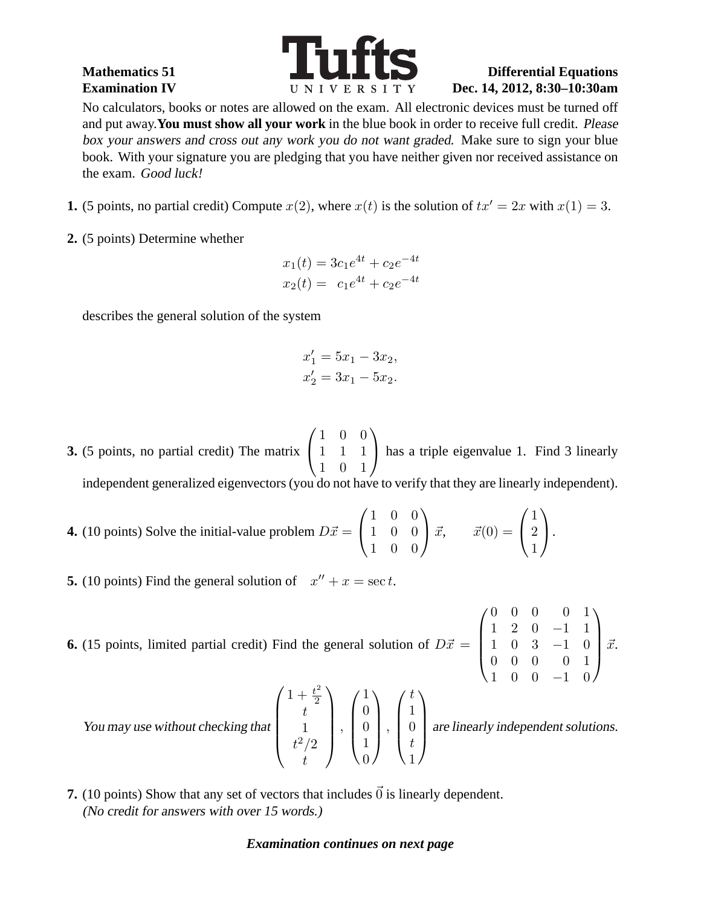

## Mathematics 51 **Differential Equations Examination IV Dec. 14, 2012, 8:30-10:30am**

No calculators, books or notes are allowed on the exam. All electronic devices must be turned off and put away.**You must show all your work** in the blue book in order to receive full credit. Please box your answers and cross out any work you do not want graded. Make sure to sign your blue book. With your signature you are pledging that you have neither given nor received assistance on the exam. Good luck!

- **1.** (5 points, no partial credit) Compute  $x(2)$ , where  $x(t)$  is the solution of  $tx' = 2x$  with  $x(1) = 3$ .
- **2.** (5 points) Determine whether

$$
x_1(t) = 3c_1e^{4t} + c_2e^{-4t}
$$
  

$$
x_2(t) = c_1e^{4t} + c_2e^{-4t}
$$

describes the general solution of the system

$$
x_1' = 5x_1 - 3x_2,
$$
  

$$
x_2' = 3x_1 - 5x_2.
$$

- **3.** (5 points, no partial credit) The matrix  $\sqrt{ }$  $\overline{1}$ 1 0 0 1 1 1 1 0 1  $\setminus$ has a triple eigenvalue 1. Find 3 linearly independent generalized eigenvectors (you do not have to verify that they are linearly independent).
- **4.** (10 points) Solve the initial-value problem  $D\vec{x} =$  $\sqrt{ }$  $\overline{1}$ 1 0 0 1 0 0 1 0 0  $\setminus$  $\int \vec{x}, \quad \vec{x}(0) =$  $\sqrt{ }$  $\mathcal{L}$ 1 2 1  $\setminus$  $\cdot$
- **5.** (10 points) Find the general solution of  $x'' + x = \sec t$ .

**6.** (15 points, limited partial credit) Find the general solution of  $D\vec{x} =$  $\sqrt{ }$  $\overline{\mathcal{L}}$ 0 0 0 0 1 1 2 0 −1 1 1 0 3 −1 0 0 0 0 0 1  $\setminus$  $\int \vec{x}$ .

2

 $\setminus$ 

 $\sqrt{ }$ 

1  $\theta$  $\theta$ 1  $\overline{0}$ 

 $\setminus$ 

t

 $\Bigg\}$ ,

 $\overline{\phantom{a}}$ 

 $\begin{matrix} \phantom{-} \\ \phantom{-} \end{matrix}$ ,

t 1

t

You may use without checking that  $\sqrt{ }$  $\overline{\phantom{a}}$  $1 + \frac{t^2}{2}$  $t^2/2$ 

 $\sqrt{ }$  $\overline{\phantom{a}}$ 1  $\theta$ t 1  $\setminus$ are linearly independent solutions.

1 0 0 −1 0

**7.** (10 points) Show that any set of vectors that includes  $\vec{0}$  is linearly dependent. (No credit for answers with over <sup>15</sup> words.)

## *Examination continues on next page*